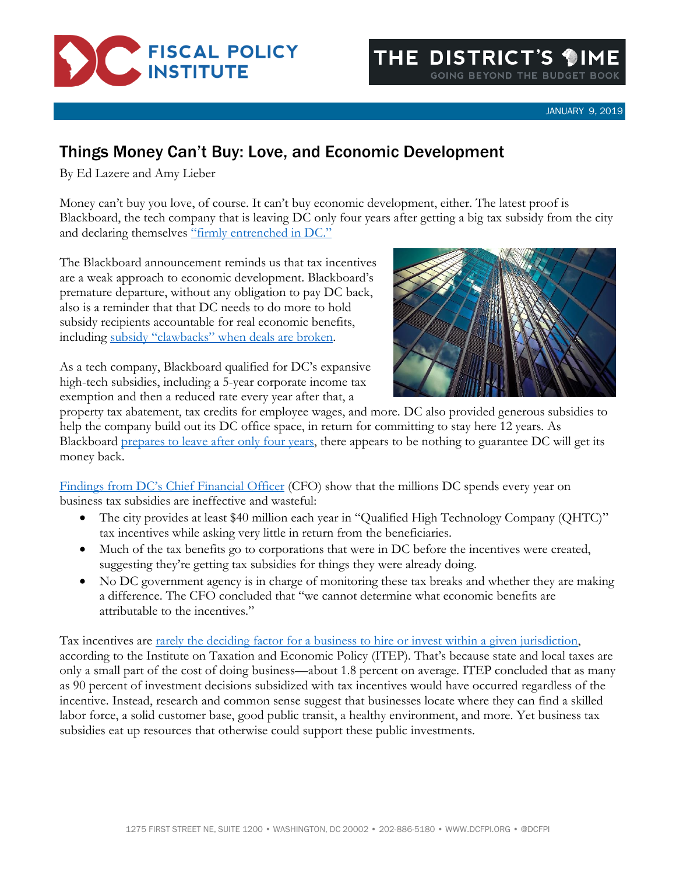

## Things Money Can't Buy: Love, and Economic Development

By Ed Lazere and Amy Lieber

Money can't buy you love, of course. It can't buy economic development, either. The latest proof is Blackboard, the tech company that is leaving DC only four years after getting a big tax subsidy from the city and declaring themselves "firmly entrenched in DC."

The Blackboard announcement reminds us that tax incentives are a weak approach to economic development. Blackboard's premature departure, without any obligation to pay DC back, also is a reminder that that DC needs to do more to hold subsidy recipients accountable for real economic benefits, including subsidy ["clawbacks" when deals are broken](https://www.dcfpi.org/all/high-road-development-building-prosperity-for-workers-and-the-district/).



As a tech company, Blackboard qualified for DC's expansive high-tech subsidies, including a 5-year corporate income tax exemption and then a reduced rate every year after that, a

property tax abatement, tax credits for employee wages, and more. DC also provided generous subsidies to help the company build out its DC office space, in return for committing to stay here 12 years. As Blackboard [prepares to leave after only four years,](https://www.bizjournals.com/washington/news/2019/01/02/this-education-technology-giant-is-leaving-d-c-for.html) there appears to be nothing to guarantee DC will get its money back.

[Findings from DC's Chie](https://cfo.dc.gov/sites/default/files/dc/sites/ocfo/publication/attachments/2017%20Economic%20Development%20Tax%20Expenditures%20121918.pdf)f Financial Officer (CFO) show that the millions DC spends every year on business tax subsidies are ineffective and wasteful:

- The city provides at least \$40 million each year in "Qualified High Technology Company (QHTC)" tax incentives while asking very little in return from the beneficiaries.
- Much of the tax benefits go to corporations that were in DC before the incentives were created, suggesting they're getting tax subsidies for things they were already doing.
- No DC government agency is in charge of monitoring these tax breaks and whether they are making a difference. The CFO concluded that "we cannot determine what economic benefits are attributable to the incentives."

Tax incentives are [rarely the deciding factor for a business to hire or invest within a given jurisdiction,](https://itep.org/tax-incentives-costly-for-states-drag-on-the-nation/) according to the Institute on Taxation and Economic Policy (ITEP). That's because state and local taxes are only a small part of the cost of doing business—about 1.8 percent on average. ITEP concluded that as many as 90 percent of investment decisions subsidized with tax incentives would have occurred regardless of the incentive. Instead, research and common sense suggest that businesses locate where they can find a skilled labor force, a solid customer base, good public transit, a healthy environment, and more. Yet business tax subsidies eat up resources that otherwise could support these public investments.